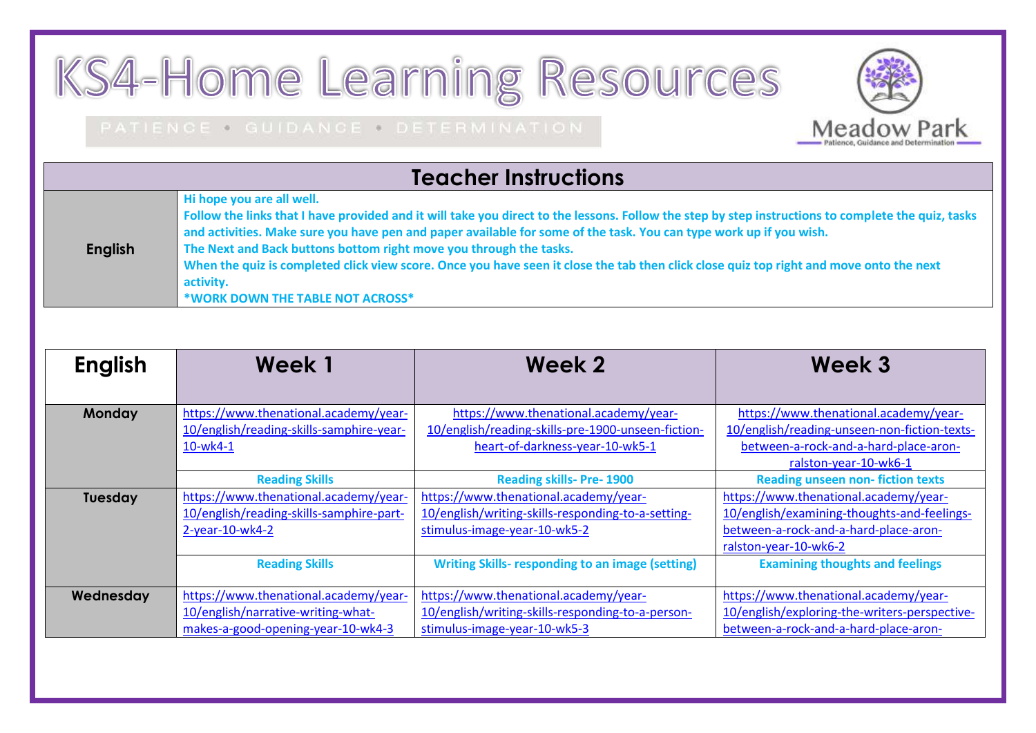## KS4-Home Learning Resources

## PATIENCE . GUIDANCE . DETERMINATION



## **Teacher Instructions**

| Hi hope you are all well.                                                                                                                          |  |  |  |
|----------------------------------------------------------------------------------------------------------------------------------------------------|--|--|--|
| Follow the links that I have provided and it will take you direct to the lessons. Follow the step by step instructions to complete the quiz, tasks |  |  |  |
| and activities. Make sure you have pen and paper available for some of the task. You can type work up if you wish.                                 |  |  |  |
| The Next and Back buttons bottom right move you through the tasks.                                                                                 |  |  |  |
| When the quiz is completed click view score. Once you have seen it close the tab then click close quiz top right and move onto the next            |  |  |  |
| activity.                                                                                                                                          |  |  |  |
| *WORK DOWN THE TABLE NOT ACROSS*                                                                                                                   |  |  |  |
|                                                                                                                                                    |  |  |  |

| <b>English</b> | Week 1                                                                                                            | Week 2                                                                                                                         | Week 3                                                                                                                                                  |
|----------------|-------------------------------------------------------------------------------------------------------------------|--------------------------------------------------------------------------------------------------------------------------------|---------------------------------------------------------------------------------------------------------------------------------------------------------|
| <b>Monday</b>  | https://www.thenational.academy/year-<br>10/english/reading-skills-samphire-year-<br>$10-wk4-1$                   | https://www.thenational.academy/year-<br>10/english/reading-skills-pre-1900-unseen-fiction-<br>heart-of-darkness-year-10-wk5-1 | https://www.thenational.academy/year-<br>10/english/reading-unseen-non-fiction-texts-<br>between-a-rock-and-a-hard-place-aron-<br>ralston-year-10-wk6-1 |
|                | <b>Reading Skills</b>                                                                                             | <b>Reading skills- Pre-1900</b>                                                                                                | <b>Reading unseen non-fiction texts</b>                                                                                                                 |
| Tuesday        | https://www.thenational.academy/year-<br>10/english/reading-skills-samphire-part-<br>$2$ -year-10-wk4-2           | https://www.thenational.academy/year-<br>10/english/writing-skills-responding-to-a-setting-<br>stimulus-image-year-10-wk5-2    | https://www.thenational.academy/year-<br>10/english/examining-thoughts-and-feelings-<br>between-a-rock-and-a-hard-place-aron-<br>ralston-year-10-wk6-2  |
|                | <b>Reading Skills</b>                                                                                             | <b>Writing Skills- responding to an image (setting)</b>                                                                        | <b>Examining thoughts and feelings</b>                                                                                                                  |
| Wednesday      | https://www.thenational.academy/year-<br>10/english/narrative-writing-what-<br>makes-a-good-opening-year-10-wk4-3 | https://www.thenational.academy/year-<br>10/english/writing-skills-responding-to-a-person-<br>stimulus-image-year-10-wk5-3     | https://www.thenational.academy/year-<br>10/english/exploring-the-writers-perspective-<br>between-a-rock-and-a-hard-place-aron-                         |